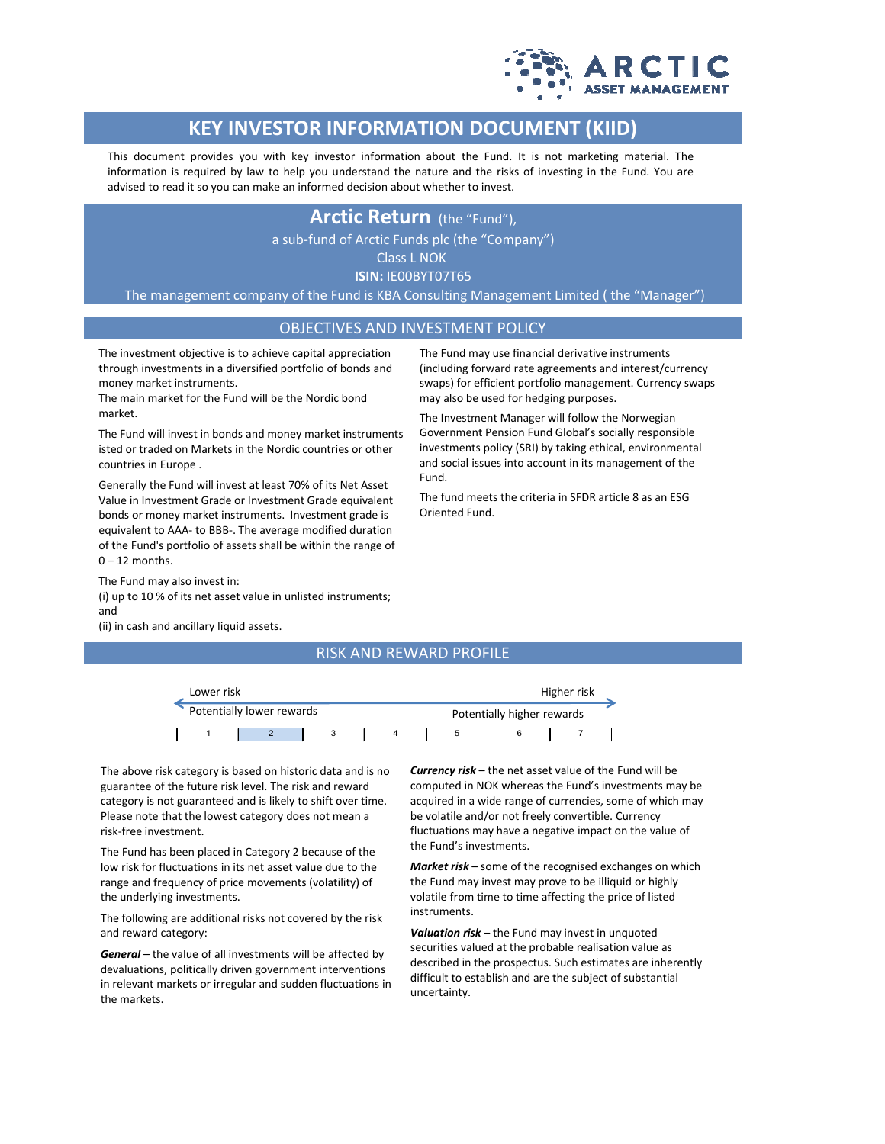

# **KEY INVESTOR INFORMATION DOCUMENT (KIID)**

This document provides you with key investor information about the Fund. It is not marketing material. The information is required by law to help you understand the nature and the risks of investing in the Fund. You are advised to read it so you can make an informed decision about whether to invest.

# **Arctic Return** (the "Fund"),

a sub-fund of Arctic Funds plc (the "Company")

Class L NOK

**ISIN:** IE00BYT07T65

The management company of the Fund is KBA Consulting Management Limited ( the "Manager")

## OBJECTIVES AND INVESTMENT POLICY

Fund.

Oriented Fund.

The investment objective is to achieve capital appreciation through investments in a diversified portfolio of bonds and money market instruments.

The main market for the Fund will be the Nordic bond market.

The Fund will invest in bonds and money market instruments isted or traded on Markets in the Nordic countries or other countries in Europe .

Generally the Fund will invest at least 70% of its Net Asset Value in Investment Grade or Investment Grade equivalent bonds or money market instruments. Investment grade is equivalent to AAA- to BBB-. The average modified duration of the Fund's portfolio of assets shall be within the range of  $0 - 12$  months.

The Fund may also invest in:

(i) up to 10 % of its net asset value in unlisted instruments; and

(ii) in cash and ancillary liquid assets.

#### RISK AND REWARD PROFILE

| Lower risk                |  |  |  |                            | Higher risk |  |  |
|---------------------------|--|--|--|----------------------------|-------------|--|--|
| Potentially lower rewards |  |  |  | Potentially higher rewards |             |  |  |
|                           |  |  |  |                            |             |  |  |

The above risk category is based on historic data and is no guarantee of the future risk level. The risk and reward category is not guaranteed and is likely to shift over time. Please note that the lowest category does not mean a risk-free investment.

The Fund has been placed in Category 2 because of the low risk for fluctuations in its net asset value due to the range and frequency of price movements (volatility) of the underlying investments.

The following are additional risks not covered by the risk and reward category:

*General* – the value of all investments will be affected by devaluations, politically driven government interventions in relevant markets or irregular and sudden fluctuations in the markets.

*Currency risk* – the net asset value of the Fund will be computed in NOK whereas the Fund's investments may be acquired in a wide range of currencies, some of which may be volatile and/or not freely convertible. Currency fluctuations may have a negative impact on the value of the Fund's investments.

The Fund may use financial derivative instruments (including forward rate agreements and interest/currency swaps) for efficient portfolio management. Currency swaps

The Investment Manager will follow the Norwegian Government Pension Fund Global's socially responsible investments policy (SRI) by taking ethical, environmental and social issues into account in its management of the

The fund meets the criteria in SFDR article 8 as an ESG

may also be used for hedging purposes.

*Market risk* – some of the recognised exchanges on which the Fund may invest may prove to be illiquid or highly volatile from time to time affecting the price of listed instruments.

*Valuation risk* – the Fund may invest in unquoted securities valued at the probable realisation value as described in the prospectus. Such estimates are inherently difficult to establish and are the subject of substantial uncertainty.